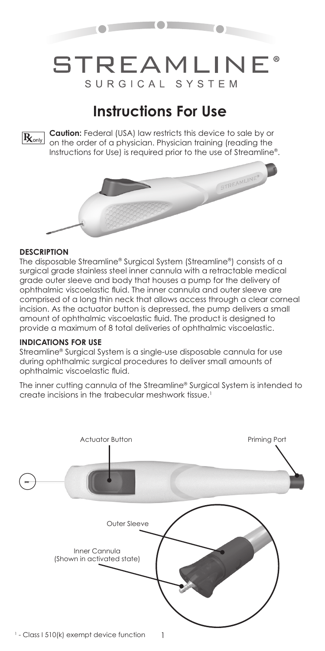

# **STREAMLINE®** SURGICAL SYSTEM

# **Instructions For Use**



**Caution:** Federal (USA) law restricts this device to sale by or  $R_{\text{only}}$  Caurion: reaeral to by law testing a series from the order of a physician. Physician training (reading the Instructions for Use) is required prior to the use of Streamline®.



#### **DESCRIPTION**

The disposable Streamline® Surgical System (Streamline®) consists of a surgical grade stainless steel inner cannula with a retractable medical grade outer sleeve and body that houses a pump for the delivery of ophthalmic viscoelastic fluid. The inner cannula and outer sleeve are comprised of a long thin neck that allows access through a clear corneal incision. As the actuator button is depressed, the pump delivers a small amount of ophthalmic viscoelastic fluid. The product is designed to provide a maximum of 8 total deliveries of ophthalmic viscoelastic.

### **INDICATIONS FOR USE**

Streamline® Surgical System is a single-use disposable cannula for use during ophthalmic surgical procedures to deliver small amounts of ophthalmic viscoelastic fluid.

The inner cutting cannula of the Streamline® Surgical System is intended to create incisions in the trabecular meshwork tissue.1



1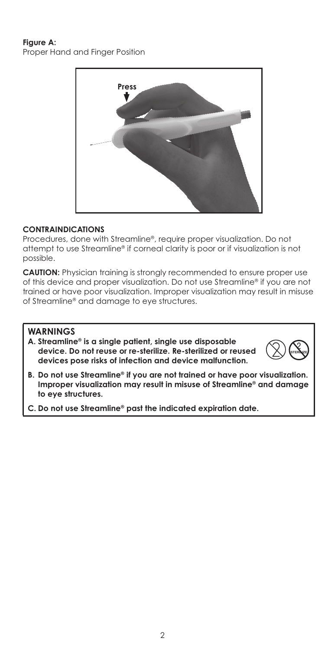# **Figure A:** Proper Hand and Finger Position



### **CONTRAINDICATIONS**

Procedures, done with Streamline®, require proper visualization. Do not attempt to use Streamline® if corneal clarity is poor or if visualization is not possible.

**CAUTION:** Physician training is strongly recommended to ensure proper use of this device and proper visualization. Do not use Streamline® if you are not trained or have poor visualization. Improper visualization may result in misuse of Streamline® and damage to eye structures.

# **WARNINGS**

**A. Streamline® is a single patient, single use disposable device. Do not reuse or re-sterilize. Re-sterilized or reused devices pose risks of infection and device malfunction.** 



**B. Do not use Streamline® if you are not trained or have poor visualization. Improper visualization may result in misuse of Streamline® and damage to eye structures.**

**C. Do not use Streamline® past the indicated expiration date.**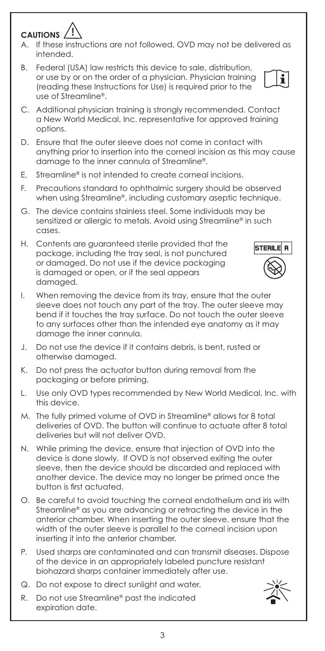3

#### **CAUTIONS !**

- A. If these instructions are not followed, OVD may not be delivered as intended.
- B. Federal (USA) law restricts this device to sale, distribution, or use by or on the order of a physician. Physician training (reading these Instructions for Use) is required prior to the use of Streamline®.
- C. Additional physician training is strongly recommended. Contact a New World Medical, Inc. representative for approved training options.
- D. Ensure that the outer sleeve does not come in contact with anything prior to insertion into the corneal incision as this may cause damage to the inner cannula of Streamline®.
- E. Streamline® is not intended to create corneal incisions.
- F. Precautions standard to ophthalmic surgery should be observed when using Streamline®, including customary aseptic technique.
- G. The device contains stainless steel. Some individuals may be sensitized or allergic to metals. Avoid using Streamline® in such cases.
- H. Contents are guaranteed sterile provided that the package, including the tray seal, is not punctured or damaged. Do not use if the device packaging is damaged or open, or if the seal appears damaged.
- I. When removing the device from its tray, ensure that the outer sleeve does not touch any part of the tray. The outer sleeve may bend if it touches the tray surface. Do not touch the outer sleeve to any surfaces other than the intended eye anatomy as it may damage the inner cannula.
- J. Do not use the device if it contains debris, is bent, rusted or otherwise damaged.
- K. Do not press the actuator button during removal from the packaging or before priming.
- L. Use only OVD types recommended by New World Medical, Inc. with this device.
- M. The fully primed volume of OVD in Streamline® allows for 8 total deliveries of OVD. The button will continue to actuate after 8 total deliveries but will not deliver OVD.
- N. While priming the device, ensure that injection of OVD into the device is done slowly. If OVD is not observed exiting the outer sleeve, then the device should be discarded and replaced with another device. The device may no longer be primed once the button is first actuated.
- O. Be careful to avoid touching the corneal endothelium and iris with Streamline® as you are advancing or retracting the device in the anterior chamber. When inserting the outer sleeve, ensure that the width of the outer sleeve is parallel to the corneal incision upon inserting it into the anterior chamber.
- P. Used sharps are contaminated and can transmit diseases. Dispose of the device in an appropriately labeled puncture resistant biohazard sharps container immediately after use.
- Q. Do not expose to direct sunlight and water.
- R. Do not use Streamline® past the indicated expiration date.





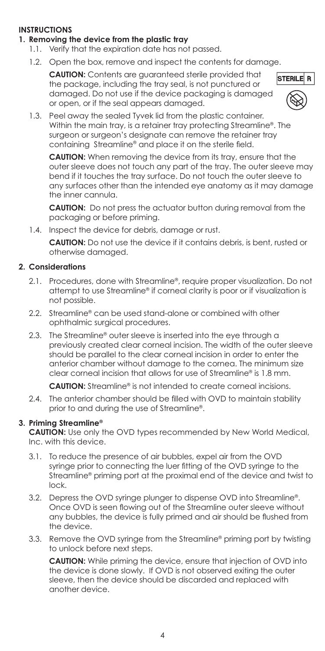# **INSTRUCTIONS**

### **1. Removing the device from the plastic tray**

- 1.1. Verify that the expiration date has not passed.
- 1.2. Open the box, remove and inspect the contents for damage.

**CAUTION:** Contents are guaranteed sterile provided that the package, including the tray seal, is not punctured or damaged. Do not use if the device packaging is damaged or open, or if the seal appears damaged.



1.3. Peel away the sealed Tyvek lid from the plastic container. Within the main tray, is a retainer tray protecting Streamline®. The surgeon or surgeon's designate can remove the retainer tray containing Streamline® and place it on the sterile field.

**CAUTION:** When removing the device from its tray, ensure that the outer sleeve does not touch any part of the tray. The outer sleeve may bend if it touches the tray surface. Do not touch the outer sleeve to any surfaces other than the intended eye anatomy as it may damage the inner cannula.

**CAUTION:** Do not press the actuator button during removal from the packaging or before priming.

1.4. Inspect the device for debris, damage or rust.

**CAUTION:** Do not use the device if it contains debris, is bent, rusted or otherwise damaged.

#### **2. Considerations**

- 2.1. Procedures, done with Streamline®, require proper visualization. Do not attempt to use Streamline® if corneal clarity is poor or if visualization is not possible.
- 2.2. Streamline® can be used stand-alone or combined with other ophthalmic surgical procedures.
- 2.3. The Streamline® outer sleeve is inserted into the eye through a previously created clear corneal incision. The width of the outer sleeve should be parallel to the clear corneal incision in order to enter the anterior chamber without damage to the cornea. The minimum size clear corneal incision that allows for use of Streamline® is 1.8 mm.

**CAUTION:** Streamline® is not intended to create corneal incisions.

2.4. The anterior chamber should be filled with OVD to maintain stability prior to and during the use of Streamline®.

#### **3. Priming Streamline®**

**CAUTION:** Use only the OVD types recommended by New World Medical, Inc. with this device.

- 3.1. To reduce the presence of air bubbles, expel air from the OVD syringe prior to connecting the luer fitting of the OVD syringe to the Streamline® priming port at the proximal end of the device and twist to lock.
- 3.2. Depress the OVD syringe plunger to dispense OVD into Streamline®. Once OVD is seen flowing out of the Streamline outer sleeve without any bubbles, the device is fully primed and air should be flushed from the device.
- 3.3. Remove the OVD syringe from the Streamline® priming port by twisting to unlock before next steps.

**CAUTION:** While priming the device, ensure that injection of OVD into the device is done slowly. If OVD is not observed exiting the outer sleeve, then the device should be discarded and replaced with another device.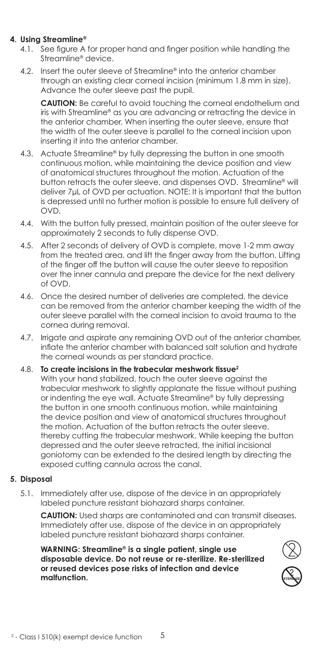# **4. Using Streamline®**

- 4.1. See figure A for proper hand and finger position while handling the Streamline® device.
- 4.2. Insert the outer sleeve of Streamline® into the anterior chamber through an existing clear corneal incision (minimum 1.8 mm in size). Advance the outer sleeve past the pupil.

**CAUTION:** Be careful to avoid touching the corneal endothelium and iris with Streamline® as you are advancing or retracting the device in the anterior chamber. When inserting the outer sleeve, ensure that the width of the outer sleeve is parallel to the corneal incision upon inserting it into the anterior chamber.

- 4.3. Actuate Streamline® by fully depressing the button in one smooth continuous motion, while maintaining the device position and view of anatomical structures throughout the motion. Actuation of the button retracts the outer sleeve, and dispenses OVD. Streamline® will deliver 7μL of OVD per actuation. NOTE: It is important that the button is depressed until no further motion is possible to ensure full delivery of OVD.
- 4.4. With the button fully pressed, maintain position of the outer sleeve for approximately 2 seconds to fully dispense OVD.
- 4.5. After 2 seconds of delivery of OVD is complete, move 1-2 mm away from the treated area, and lift the finger away from the button. Lifting of the finger off the button will cause the outer sleeve to reposition over the inner cannula and prepare the device for the next delivery of OVD.
- 4.6. Once the desired number of deliveries are completed, the device can be removed from the anterior chamber keeping the width of the outer sleeve parallel with the corneal incision to avoid trauma to the cornea during removal.
- 4.7. Irrigate and aspirate any remaining OVD out of the anterior chamber, inflate the anterior chamber with balanced salt solution and hydrate the corneal wounds as per standard practice.
- 4.8. **To create incisions in the trabecular meshwork tissue2** With your hand stabilized, touch the outer sleeve against the trabecular meshwork to slightly applanate the tissue without pushing or indenting the eye wall. Actuate Streamline® by fully depressing the button in one smooth continuous motion, while maintaining the device position and view of anatomical structures throughout the motion. Actuation of the button retracts the outer sleeve, thereby cutting the trabecular meshwork. While keeping the button depressed and the outer sleeve retracted, the initial incisional goniotomy can be extended to the desired length by directing the exposed cutting cannula across the canal.

#### **5. Disposal**

5.1. Immediately after use, dispose of the device in an appropriately labeled puncture resistant biohazard sharps container.

**CAUTION:** Used sharps are contaminated and can transmit diseases. Immediately after use, dispose of the device in an appropriately labeled puncture resistant biohazard sharps container.

**WARNING: Streamline® is a single patient, single use disposable device. Do not reuse or re-sterilize. Re-sterilized or reused devices pose risks of infection and device malfunction.**

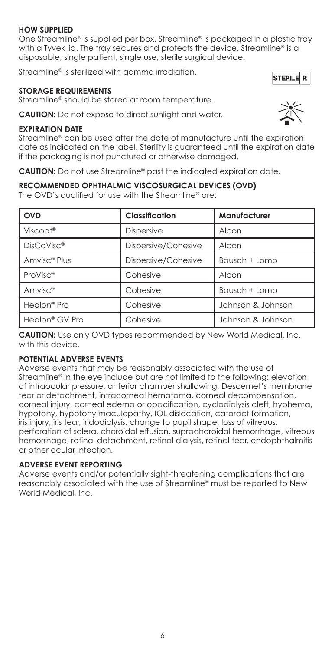#### **HOW SUPPLIED**

One Streamline® is supplied per box. Streamline® is packaged in a plastic tray with a Tyvek lid. The tray secures and protects the device. Streamline® is a disposable, single patient, single use, sterile surgical device.

Streamline® is sterilized with gamma irradiation.

#### **STORAGE REQUIREMENTS**

Streamline® should be stored at room temperature.

**CAUTION:** Do not expose to direct sunlight and water.

#### **EXPIRATION DATE**

Streamline® can be used after the date of manufacture until the expiration date as indicated on the label. Sterility is guaranteed until the expiration date if the packaging is not punctured or otherwise damaged.

**CAUTION:** Do not use Streamline® past the indicated expiration date.

#### **RECOMMENDED OPHTHALMIC VISCOSURGICAL DEVICES (OVD)**

The OVD's qualified for use with the Streamline® are:

| <b>OVD</b>                 | <b>Classification</b> | Manufacturer      |
|----------------------------|-----------------------|-------------------|
| Viscoat <sup>®</sup>       | <b>Dispersive</b>     | Alcon             |
| DisCoVisc <sup>®</sup>     | Dispersive/Cohesive   | Alcon             |
| Amvisc <sup>®</sup> Plus   | Dispersive/Cohesive   | Bausch + Lomb     |
| ProVisc <sup>®</sup>       | Cohesive              | Alcon             |
| Amvisc <sup>®</sup>        | Cohesive              | Bausch + Lomb     |
| Healon <sup>®</sup> Pro    | Cohesive              | Johnson & Johnson |
| Healon <sup>®</sup> GV Pro | Cohesive              | Johnson & Johnson |

**CAUTION:** Use only OVD types recommended by New World Medical, Inc. with this device.

#### **POTENTIAL ADVERSE EVENTS**

Adverse events that may be reasonably associated with the use of Streamline® in the eye include but are not limited to the following: elevation of intraocular pressure, anterior chamber shallowing, Descemet's membrane tear or detachment, intracorneal hematoma, corneal decompensation, corneal injury, corneal edema or opacification, cyclodialysis cleft, hyphema, hypotony, hypotony maculopathy, IOL dislocation, cataract formation, iris injury, iris tear, iridodialysis, change to pupil shape, loss of vitreous, perforation of sclera, choroidal effusion, suprachoroidal hemorrhage, vitreous hemorrhage, retinal detachment, retinal dialysis, retinal tear, endophthalmitis or other ocular infection.

#### **ADVERSE EVENT REPORTING**

Adverse events and/or potentially sight-threatening complications that are reasonably associated with the use of Streamline® must be reported to New World Medical, Inc.



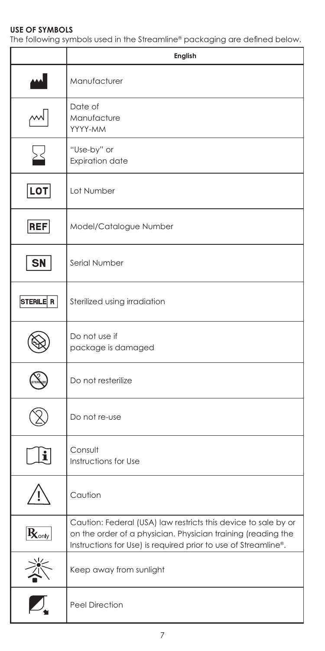# **USE OF SYMBOLS**

The following symbols used in the Streamline® packaging are defined below.

|                   | English                                                                                                                                                                                          |
|-------------------|--------------------------------------------------------------------------------------------------------------------------------------------------------------------------------------------------|
|                   | Manufacturer                                                                                                                                                                                     |
| $\mathbb{M}$      | Date of<br>Manufacture<br>YYYY-MM                                                                                                                                                                |
| ∑                 | "Use-by" or<br><b>Expiration date</b>                                                                                                                                                            |
| LOT               | Lot Number                                                                                                                                                                                       |
| <b>REF</b>        | Model/Catalogue Number                                                                                                                                                                           |
| <b>SN</b>         | Serial Number                                                                                                                                                                                    |
| STERILE R         | Sterilized using irradiation                                                                                                                                                                     |
|                   | Do not use if<br>package is damaged                                                                                                                                                              |
|                   | Do not resterilize                                                                                                                                                                               |
|                   | Do not re-use                                                                                                                                                                                    |
| ĭ                 | Consult<br>Instructions for Use                                                                                                                                                                  |
|                   | Caution                                                                                                                                                                                          |
| $R_{\text{only}}$ | Caution: Federal (USA) law restricts this device to sale by or<br>on the order of a physician. Physician training (reading the<br>Instructions for Use) is required prior to use of Streamline®. |
|                   | Keep away from sunlight                                                                                                                                                                          |
|                   | Peel Direction                                                                                                                                                                                   |